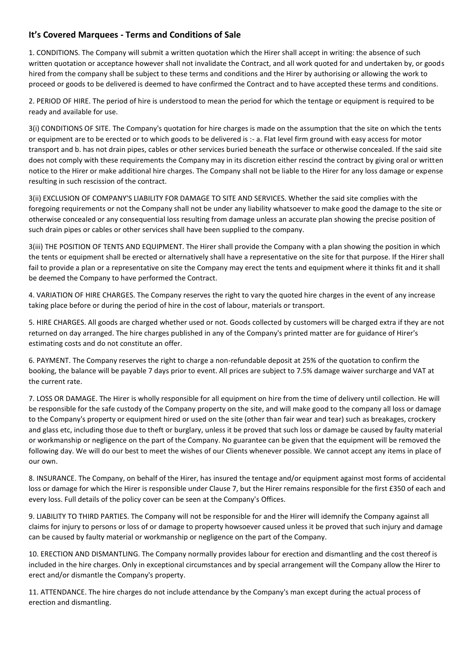## **It's Covered Marquees - Terms and Conditions of Sale**

1. CONDITIONS. The Company will submit a written quotation which the Hirer shall accept in writing: the absence of such written quotation or acceptance however shall not invalidate the Contract, and all work quoted for and undertaken by, or goods hired from the company shall be subject to these terms and conditions and the Hirer by authorising or allowing the work to proceed or goods to be delivered is deemed to have confirmed the Contract and to have accepted these terms and conditions.

2. PERIOD OF HIRE. The period of hire is understood to mean the period for which the tentage or equipment is required to be ready and available for use.

3(i) CONDITIONS OF SITE. The Company's quotation for hire charges is made on the assumption that the site on which the tents or equipment are to be erected or to which goods to be delivered is :- a. Flat level firm ground with easy access for motor transport and b. has not drain pipes, cables or other services buried beneath the surface or otherwise concealed. If the said site does not comply with these requirements the Company may in its discretion either rescind the contract by giving oral or written notice to the Hirer or make additional hire charges. The Company shall not be liable to the Hirer for any loss damage or expense resulting in such rescission of the contract.

3(ii) EXCLUSION OF COMPANY'S LIABILITY FOR DAMAGE TO SITE AND SERVICES. Whether the said site complies with the foregoing requirements or not the Company shall not be under any liability whatsoever to make good the damage to the site or otherwise concealed or any consequential loss resulting from damage unless an accurate plan showing the precise position of such drain pipes or cables or other services shall have been supplied to the company.

3(iii) THE POSITION OF TENTS AND EQUIPMENT. The Hirer shall provide the Company with a plan showing the position in which the tents or equipment shall be erected or alternatively shall have a representative on the site for that purpose. If the Hirer shall fail to provide a plan or a representative on site the Company may erect the tents and equipment where it thinks fit and it shall be deemed the Company to have performed the Contract.

4. VARIATION OF HIRE CHARGES. The Company reserves the right to vary the quoted hire charges in the event of any increase taking place before or during the period of hire in the cost of labour, materials or transport.

5. HIRE CHARGES. All goods are charged whether used or not. Goods collected by customers will be charged extra if they are not returned on day arranged. The hire charges published in any of the Company's printed matter are for guidance of Hirer's estimating costs and do not constitute an offer.

6. PAYMENT. The Company reserves the right to charge a non-refundable deposit at 25% of the quotation to confirm the booking, the balance will be payable 7 days prior to event. All prices are subject to 7.5% damage waiver surcharge and VAT at the current rate.

7. LOSS OR DAMAGE. The Hirer is wholly responsible for all equipment on hire from the time of delivery until collection. He will be responsible for the safe custody of the Company property on the site, and will make good to the company all loss or damage to the Company's property or equipment hired or used on the site (other than fair wear and tear) such as breakages, crockery and glass etc, including those due to theft or burglary, unless it be proved that such loss or damage be caused by faulty material or workmanship or negligence on the part of the Company. No guarantee can be given that the equipment will be removed the following day. We will do our best to meet the wishes of our Clients whenever possible. We cannot accept any items in place of our own.

8. INSURANCE. The Company, on behalf of the Hirer, has insured the tentage and/or equipment against most forms of accidental loss or damage for which the Hirer is responsible under Clause 7, but the Hirer remains responsible for the first £350 of each and every loss. Full details of the policy cover can be seen at the Company's Offices.

9. LIABILITY TO THIRD PARTIES. The Company will not be responsible for and the Hirer will idemnify the Company against all claims for injury to persons or loss of or damage to property howsoever caused unless it be proved that such injury and damage can be caused by faulty material or workmanship or negligence on the part of the Company.

10. ERECTION AND DISMANTLING. The Company normally provides labour for erection and dismantling and the cost thereof is included in the hire charges. Only in exceptional circumstances and by special arrangement will the Company allow the Hirer to erect and/or dismantle the Company's property.

11. ATTENDANCE. The hire charges do not include attendance by the Company's man except during the actual process of erection and dismantling.